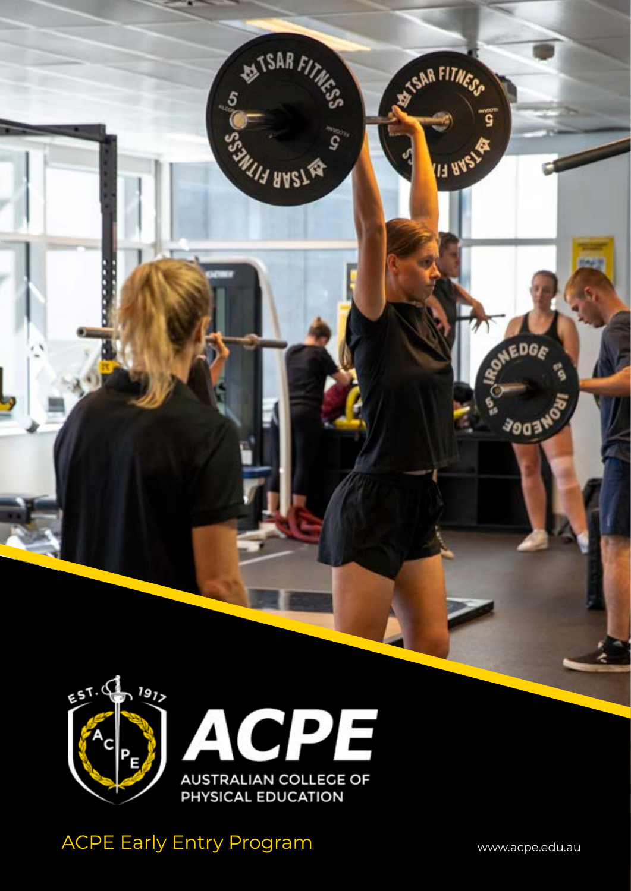

**EXTSAR FITNESS** 

**MILLE BASSER** 

 $\mathbf{S}$ 

 $5\frac{5}{2}$ 

**SAR FITNESS** 

ۊ

AEDGE

**3903W** 

**IT RASY** 

ACPE Early Entry Program WWW.acpe.edu.au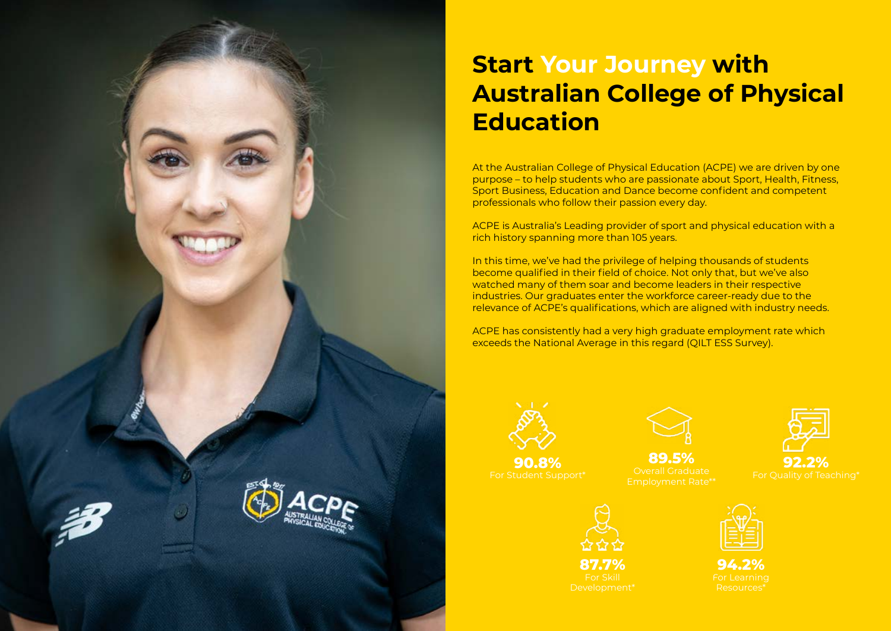

# **Start Your Journey with Australian College of Physical Education**

At the Australian College of Physical Education (ACPE) we are driven by one purpose – to help students who are passionate about Sport, Health, Fitness, Sport Business, Education and Dance become confident and competent professionals who follow their passion every day.

ACPE is Australia's Leading provider of sport and physical education with a rich history spanning more than 105 years.

In this time, we've had the privilege of helping thousands of students become qualified in their field of choice. Not only that, but we've also watched many of them soar and become leaders in their respective industries. Our graduates enter the workforce career-ready due to the relevance of ACPE's qualifications, which are aligned with industry needs.

ACPE has consistently had a very high graduate employment rate which exceeds the National Average in this regard (QILT ESS Survey).



**90.8%** For Student Support\*







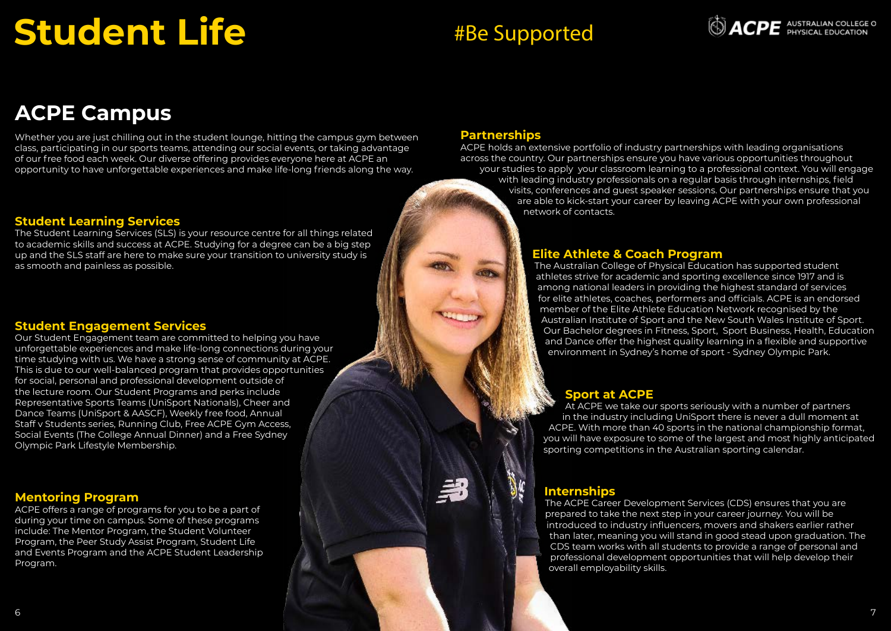# **Student Life**

# **ACPE Campus**

Whether you are just chilling out in the student lounge, hitting the campus gym between class, participating in our sports teams, attending our social events, or taking advantage of our free food each week. Our diverse offering provides everyone here at ACPE an opportunity to have unforgettable experiences and make life-long friends along the way.

### **Student Learning Services**

The Student Learning Services (SLS) is your resource centre for all things related to academic skills and success at ACPE. Studying for a degree can be a big step up and the SLS staff are here to make sure your transition to university study is as smooth and painless as possible.

## **Student Engagement Services**

Our Student Engagement team are committed to helping you have unforgettable experiences and make life-long connections during your time studying with us. We have a strong sense of community at ACPE. This is due to our well-balanced program that provides opportunities for social, personal and professional development outside of the lecture room. Our Student Programs and perks include Representative Sports Teams (UniSport Nationals), Cheer and Dance Teams (UniSport & AASCF), Weekly free food, Annual Staff v Students series, Running Club, Free ACPE Gym Access, Social Events (The College Annual Dinner) and a Free Sydney Olympic Park Lifestyle Membership. 67**Partnerships**

## **Mentoring Program**

ACPE offers a range of programs for you to be a part of during your time on campus. Some of these programs include: The Mentor Program, the Student Volunteer Program, the Peer Study Assist Program, Student Life and Events Program and the ACPE Student Leadership Program.

ACPE holds an extensive portfolio of industry partnerships with leading organisations across the country. Our partnerships ensure you have various opportunities throughout your studies to apply your classroom learning to a professional context. You will engage with leading industry professionals on a regular basis through internships, field visits, conferences and guest speaker sessions. Our partnerships ensure that you are able to kick-start your career by leaving ACPE with your own professional network of contacts.

## **Elite Athlete & Coach Program**

The Australian College of Physical Education has supported student athletes strive for academic and sporting excellence since 1917 and is among national leaders in providing the highest standard of services for elite athletes, coaches, performers and officials. ACPE is an endorsed member of the Elite Athlete Education Network recognised by the Australian Institute of Sport and the New South Wales Institute of Sport. Our Bachelor degrees in Fitness, Sport, Sport Business, Health, Education and Dance offer the highest quality learning in a flexible and supportive environment in Sydney's home of sport - Sydney Olympic Park.

# **Sport at ACPE**

At ACPE we take our sports seriously with a number of partners in the industry including UniSport there is never a dull moment at ACPE. With more than 40 sports in the national championship format, you will have exposure to some of the largest and most highly anticipated sporting competitions in the Australian sporting calendar.

# **Internships**

The ACPE Career Development Services (CDS) ensures that you are prepared to take the next step in your career journey. You will be introduced to industry influencers, movers and shakers earlier rather than later, meaning you will stand in good stead upon graduation. The CDS team works with all students to provide a range of personal and professional development opportunities that will help develop their overall employability skills.



# #Be Supported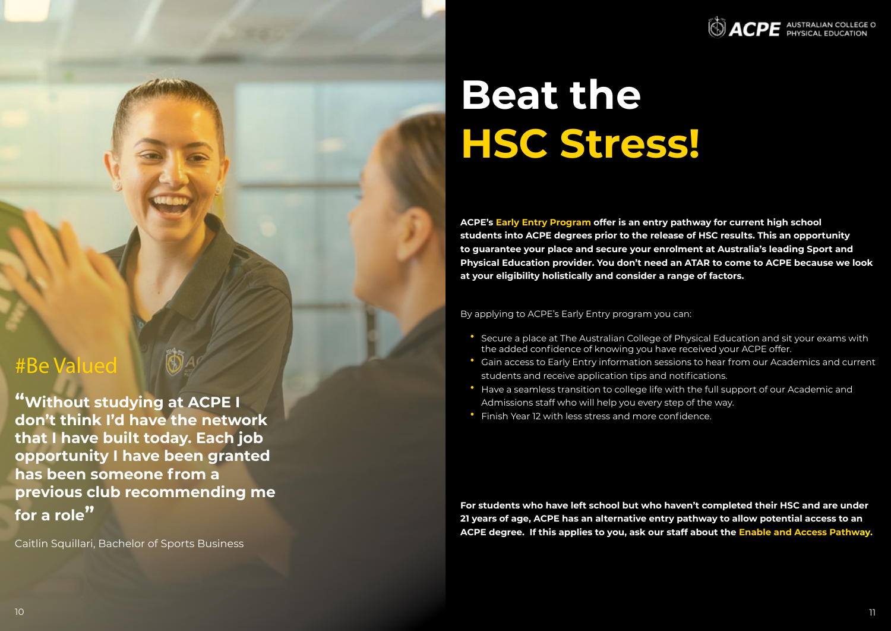

# **Beat the HSC Stress!**

**ACPE's Early Entry Program offer is an entry pathway for current high school students into ACPE degrees prior to the release of HSC results. This an opportunity to guarantee your place and secure your enrolment at Australia's leading Sport and Physical Education provider. You don't need an ATAR to come to ACPE because we look at your eligibility holistically and consider a range of factors.**

By applying to ACPE's Early Entry program you can:

- Secure a place at The Australian College of Physical Education and sit your exams with the added confidence of knowing you have received your ACPE offer. students and receive application tips and notifications. Admissions staff who will help you every step of the way.
- Gain access to Early Entry information sessions to hear from our Academics and current • Have a seamless transition to college life with the full support of our Academic and
- 
- Finish Year 12 with less stress and more confidence.

**For students who have left school but who haven't completed their HSC and are under 21 years of age, ACPE has an alternative entry pathway to allow potential access to an ACPE degree. If this applies to you, ask our staff about the Enable and Access Pathway.**

# #Be Valued

**"Without studying at ACPE I don't think I'd have the network that I have built today. Each job opportunity I have been granted has been someone from a previous club recommending me for a role"**

Caitlin Squillari, Bachelor of Sports Business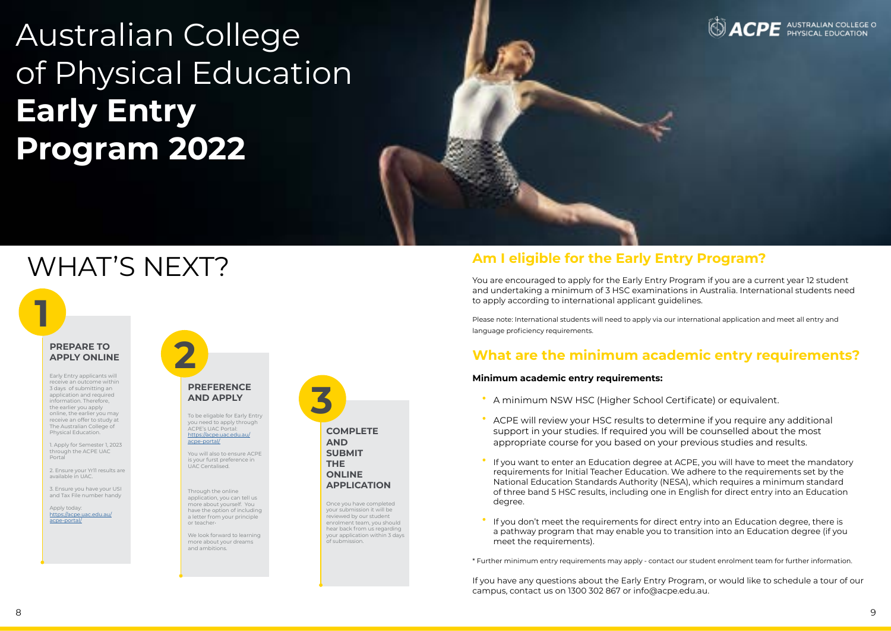

# **Am I eligible for the Early Entry Program?**

You are encouraged to apply for the Early Entry Program if you are a current year 12 student and undertaking a minimum of 3 HSC examinations in Australia. International students need to apply according to international applicant guidelines.

Please note: International students will need to apply via our international application and meet all entry and language proficiency requirements.

# **What are the minimum academic entry requirements?**

#### **Minimum academic entry requirements:**

# **2 PREPARE TO**<br>APPLY ONLINE **APPLY ONLINE**

- A minimum NSW HSC (Higher School Certificate) or equivalent.
- ACPE will review your HSC results to determine if you require any additional support in your studies. If required you will be counselled about the most appropriate course for you based on your previous studies and results.
- If you want to enter an Education degree at ACPE, you will have to meet the mandatory requirements for Initial Teacher Education. We adhere to the requirements set by the National Education Standards Authority (NESA), which requires a minimum standard of three band 5 HSC results, including one in English for direct entry into an Education degree.
- If you don't meet the requirements for direct entry into an Education degree, there is a pathway program that may enable you to transition into an Education degree (if you meet the requirements).

\* Further minimum entry requirements may apply - contact our student enrolment team for further information.

If you have any questions about the Early Entry Program, or would like to schedule a tour of our campus, contact us on 1300 302 867 or info@acpe.edu.au.

# WHAT'S NEXT?

# Australian College of Physical Education **Early Entry Program 2022**

**1**

Early Entry applicants will receive an outcome within 3 days of submitting an application and required information. Therefore, the earlier you apply online, the earlier you may receive an offer to study at The Australian College of Physical Education.

1. Apply for Semester 1, 2023 through the ACPE UAC Portal

2. Ensure your Yr11 results are available in UAC.

3. Ensure you have your USI and Tax File number handy

Apply today: [https://acpe.uac.edu.au/](https://acpe.uac.edu.au/acpe-portal/) [acpe-portal/](https://acpe.uac.edu.au/acpe-portal/)



#### **PREFERENCE AND APPLY**

To be eligable for Early Entry you need to apply through ACPE's UAC Portal: [https://acpe.uac.edu.au/](https://acpe.uac.edu.au/acpe-portal/)

[acpe-portal/](https://acpe.uac.edu.au/acpe-portal/)

You will also to ensure ACPE is your furst preference in UAC Centalised.

Through the online application, you can tell us more about yourself. You have the option of including a letter from your principle or teacher•

We look forward to learning more about your dreams and ambitions.

Once you have completed your submission it will be reviewed by our student enrolment team, you should hear back from us regarding your application within 3 days of submission.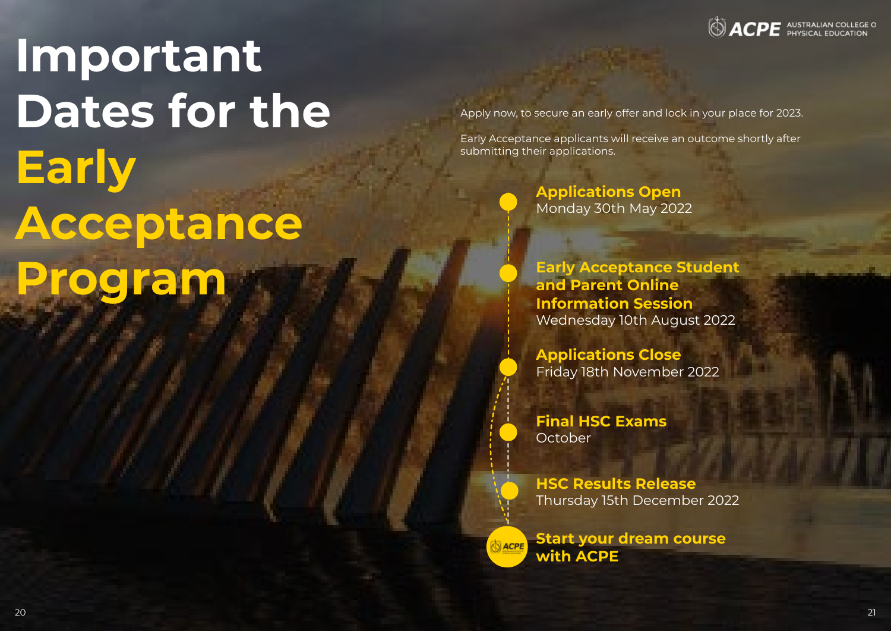# **Important Dates for the Early Acceptance Program**

Apply now, to secure an early offer and lock in your place for 2023.

Early Acceptance applicants will receive an outcome shortly after submitting their applications.

> **Final HSC Exams October**

**Applications Open** Monday 30th May 2022

**Early Acceptance Student and Parent Online Information Session** Wednesday 10th August 2022

**Applications Close** Friday 18th November 2022

**HSC Results Release** Thursday 15th December 2022

**Start your dream course NACPE with ACPE**

**SACPE** AUSTRALIAN COLLEGE O

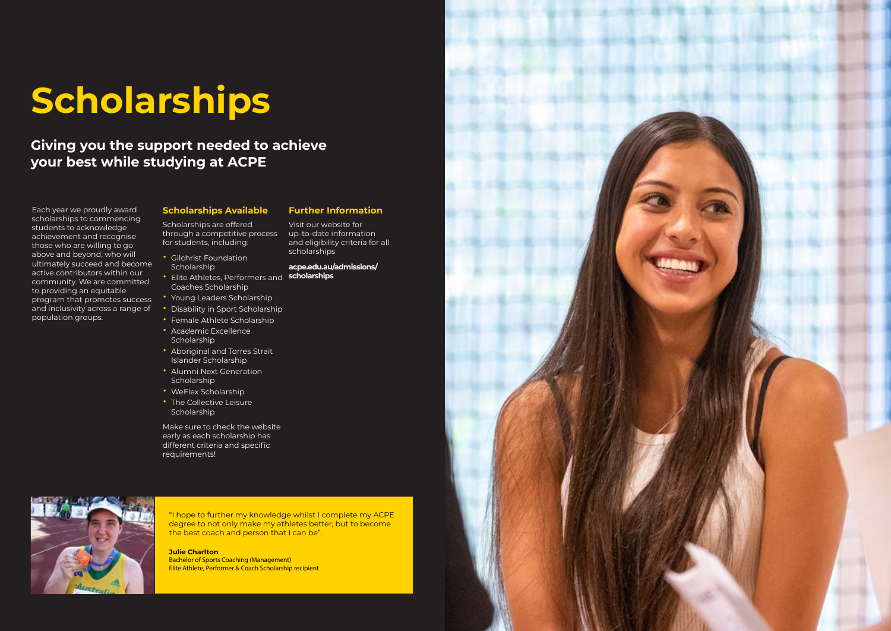

submitting their applications.

# **Scholarships**

Each year we proudly award scholarships to commencing students to acknowledge achievement and recognise those who are willing to go above and beyond, who will ultimately succeed and become active contributors within our community. We are committed to providing an equitable program that promotes success and inclusivity across a range of population groups.

### **Scholarships Available**

Visit our website for up-to-date information and eligibility criteria for all scholarships

Scholarships are offered through a competitive process for students, including:

- Gilchrist Foundation Scholarship
- Elite Athletes, Performers and **scholarships** Coaches Scholarship
- Young Leaders Scholarship
- Disability in Sport Scholarship
- Female Athlete Scholarship
- Academic Excellence **Scholarship**
- Aboriginal and Torres Strait Islander Scholarship
- Alumni Next Generation **Scholarship**
- WeFlex Scholarship
- The Collective Leisure Scholarship

Make sure to check the website early as each scholarship has different criteria and specific requirements!



### **Further Information**

# **acpe.edu.au/admissions/**



# **Giving you the support needed to achieve your best while studying at ACPE**

"I hope to further my knowledge whilst I complete my ACPE degree to not only make my athletes better, but to become the best coach and person that I can be".

#### **Julie Charlton**

Bachelor of Sports Coaching (Management) Elite Athlete, Performer & Coach Scholarship recipient